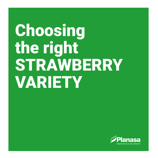# Choosing the right STRAWBERRY VARIETY

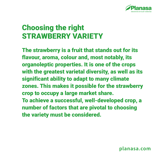

### Choosing the right STRAWBERRY VARIETY

The strawberry is a fruit that stands out for its flavour, aroma, colour and, most notably, its organoleptic properties. It is one of the crops with the greatest varietal diversity, as well as its significant ability to adapt to many climate zones. This makes it possible for the strawberry crop to occupy a large market share. To achieve a successful, well-developed crop, a number of factors that are pivotal to choosing the variety must be considered.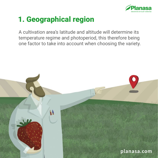

# 1. Geographical region

A cultivation area's latitude and altitude will determine its temperature regime and photoperiod, this therefore being one factor to take into account when choosing the variety.

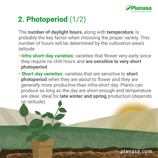

# 2. Photoperiod (1/2)

The **number of daylight hours**, along with **temperature**, is probably the key factor when choosing the proper variety. This number of hours will be determined by the cultivation area's latitude.

- **Infra short-day varieties:** varieties that flower very early since they require no chill hours and **are sensitive to very short photoperiod**.
- **Short-day varieties**: varieties that are sensitive to **short photoperiod** when they are about to flower and they are generally more productive than infra-short day. Plants can produce as long as the day are short enough and temperature are ideal. Ideal for **late winter and spring** production (depends

on latitude).

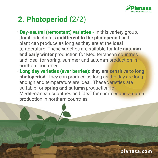

# 2. Photoperiod (2/2)

- **Day-neutral (remontant) varieties -** In this variety group, floral induction is **indifferent to the photoperiod** and plant can produce as long as they are at the ideal temperature. These varieties are suitable for **late autumm and early winter** production for Mediterranean countries and ideal for spring, summer and autumm production in northern countries.
- **Long day varieties (ever berries):** they are sensitive to **long photoperiod**. They can produce as long as the day are long enough and temperature are ideal. These varieties are suitable for **spring and autumn** production for Mediterranean countries and ideal for summer and autumn production in northern countries.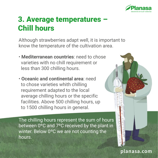

### 3. Average temperatures – Chill hours

Although strawberries adapt well, it is important to know the temperature of the cultivation area.

- **Mediterranean countries**: need to chose varieties with no chill requirement or less than 300 chilling hours.
- **Oceanic and continental area**: need to chose varieties whith chilling requirement adapted to the local average chilling hours or the specific facilities. Above 500 chilling hours, up to 1500 chilling hours in general.

The chilling hours represent the sum of hours between 0ºC and 7ºC received by the plant in winter. Below 0ºC we are not counting the hours.

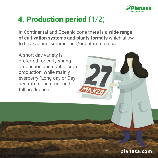

# 4. Production period (1/2)

In Continental and Oceanic zone there is a **wide range of cultivation systems and plants formats** which allow to have spring, summer and/or autumm crops.

A short day variety is preferred for early spring production and double crop production, while mainly everberry (Long-day or Dayneutral) for summer and fall production.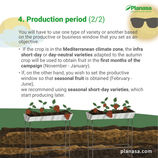

# 4. Production period (2/2)

You will have to use one type of variety or another based on the productive or business window that you set as an objective.

- If the crop is in the **Mediterranean climate zone**, the **infra short-day** or **day-neutral varieties** adapted to the autumn crop will be used to obtain fruit in the **first months of the campaign** (November - January).
- If, on the other hand, you wish to set the productive window so that **seasonal fruit** is obtained (February - June),

 we recommend using **seasonal short-day varieties**, which start producing later.

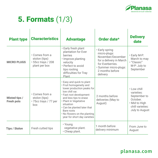

# 5. Formats (1/3)

| <b>Plant type</b>                         | <b>Characteristics</b>                                                 | <b>Advantage</b>                                                                                                                                                                                                                                                                                             | Order date*                                                                                                                                                | <b>Delivery</b><br>date                                                                                      |
|-------------------------------------------|------------------------------------------------------------------------|--------------------------------------------------------------------------------------------------------------------------------------------------------------------------------------------------------------------------------------------------------------------------------------------------------------|------------------------------------------------------------------------------------------------------------------------------------------------------------|--------------------------------------------------------------------------------------------------------------|
| <b>MICRO PLUGS</b>                        | • Comes from a<br>stolon (tips)<br>• 55cc trays / 208<br>plant per box | • Early fresh plant<br>plantation for Ever<br>berries<br>· Improve planting<br>velocity<br>• Perfect to avoid<br>tips rooting<br>difficulties for Tray<br>Plant                                                                                                                                              | • Early spring<br>micro-plugs:<br>November/December<br>for a delivery in March<br>for Everberries.<br>· Summer micro-plugs:<br>2 months before<br>delivery | • Early M-P:<br>March to may<br>• "Classic"<br>M-P: July to<br>September                                     |
| <b>Misted tips /</b><br><b>Fresh pots</b> | • Comes from a<br>stolon (tips)<br>• 75cc trays / 77 per<br>box        | · Easy and quick to plant<br>• Fruit homogeneity and<br>lower production peaks for<br>low chill var.<br>· Fast root development<br>and less tips to erase<br>• Plant in Vegetative<br>situation<br>. Can be planted later that<br>Bare roots<br>. No flowers on the planting<br>year for short day varieties | 2 months before<br>deliveries (May to<br>August)                                                                                                           | • Low chill<br>varieties:<br>September to<br>October.<br>• Mid to High<br>chill varieties:<br>July to August |
| <b>Tips / Stolon</b>                      | Fresh cutted tips                                                      | • Young<br>vegetative plant.<br>• Cheap plant.                                                                                                                                                                                                                                                               | 1 month before<br>delivery minimum                                                                                                                         | From June to<br>August                                                                                       |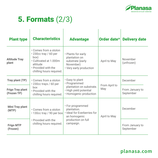

# 5. Formats (2/3)

| <b>Plant type</b>                      | <b>Characteristics</b>                                                                                                                                | <b>Advantage</b>                                                                                                  | Order date*          | <b>Delivery date</b>         |
|----------------------------------------|-------------------------------------------------------------------------------------------------------------------------------------------------------|-------------------------------------------------------------------------------------------------------------------|----------------------|------------------------------|
| <b>Altitude Tray</b><br>plant          | • Comes from a stolon<br>$\cdot$ 230cc tray / 60 per<br>box)<br>• Cultivated at 1.000m<br>altitude<br>• Provided with the<br>chilling hours required. | • Plants for early<br>plantation on<br>substrate (early<br>November)<br>• Very early production                   | April to May         | November<br>(unfrozen)       |
| Tray plant (TP)                        | • Comes from a stolon<br>• 230cc trays / 60 per<br>hox<br>• Provided with the<br>chilling hours required.                                             | • Easy to plant<br>· Programmed<br>plantation on substrate.<br>· High yield potential<br>• Homogenic production   | From April to<br>May | December                     |
| <b>Frigo Tray plant</b><br>(Frozen TP) |                                                                                                                                                       |                                                                                                                   |                      | From January to<br>September |
| <b>Mini Tray plant</b><br>(MTP)        | • Comes from a stolon<br>• 130cc tray / 90 per box<br>• Provided with the<br>chilling hours required.                                                 | • For programmed<br>plantation.<br>· Ideal for Everberries for<br>an homogenic<br>production on full<br>campaign. | April to May         | December                     |
| <b>Frigo MTP</b><br>(Frozen)           |                                                                                                                                                       |                                                                                                                   |                      | From January to<br>September |

 $\overline{1}$ 

 $\overline{\phantom{a}}$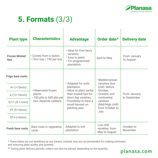

# 5. Formats (3/3)

| <b>Plant type</b>            | <b>Characteristics</b>                                                               | <b>Advantage</b>                                                                                                                                        | Order date*                                                                                                              | <b>Delivery date</b>         |
|------------------------------|--------------------------------------------------------------------------------------|---------------------------------------------------------------------------------------------------------------------------------------------------------|--------------------------------------------------------------------------------------------------------------------------|------------------------------|
| <b>Frozen Misted</b><br>tips | • Comes from a stolon<br>• 75cc tray / 190 per box                                   | · Ideal for Ever berry<br>varieties<br>· Easy to plant.<br>• For programmed<br>plantation.                                                              | April to May                                                                                                             | From January<br>to August    |
| Frigo bare roots:            |                                                                                      | • Adapted for soils                                                                                                                                     | • Mediterranean<br>varieties (low                                                                                        |                              |
| $A + (315)$ mm               | • Hibernated frozen<br>plants<br>.150 plts to 600 plts per<br>box, depends calibers. | plantation<br>. Allow to plant earlier<br>than misted tips for<br>short day varieties.<br>• Possibility to have a<br>small harvest on<br>planting year. | chill): before<br>October.<br>• Oceanic and<br>continental<br>varieties<br>(Mid/High chill):<br>from October to<br>July. | From January<br>to September |
| A (12-15mm)                  |                                                                                      |                                                                                                                                                         |                                                                                                                          |                              |
| $9/11 (9-11mm)$              |                                                                                      |                                                                                                                                                         |                                                                                                                          |                              |
| ST (9-15mm)                  |                                                                                      |                                                                                                                                                         |                                                                                                                          |                              |
| $ST+$ ( $>9mm$ )             |                                                                                      |                                                                                                                                                         |                                                                                                                          |                              |
| <b>Fresh bare roots</b>      | Bare roots in vegetative<br>cycle.                                                   | Adapted to soil<br>plantation                                                                                                                           | Low chill<br>varieties: from<br>May to August                                                                            | October to<br>November       |

**\*** These dates are not deadlines by any means; instead, they are recommended for making estimates and ensuring plant quality and quantity.

**\*\*** During plant delivery periods, orders can also be placed, depending on the quantity.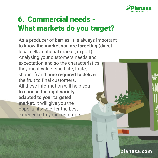

# 6. Commercial needs - What markets do you target?

As a producer of berries, it is always important to know **the market you are targeting** (direct local sells, national market, export). Analysing your customers needs and expectation and so the characteristics they most value (shelf life, taste, shape...) and **time required to deliver** the fruit to final customers. All these information will help you to choose the **right variety adapted to your targeted market**. It will give you the opportunity to offer the best experience to your customers.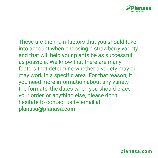

These are the main factors that you should take into account when choosing a strawberry variety and that will help your plants be as successful as possible. We know that there are many factors that determine whether a variety may or may work in a specific area. For that reason, if you need more information about any variety, the formats, the dates when you should place your order, or anything else, please don't hesitate to contact us by email at **planasa@planasa.com**